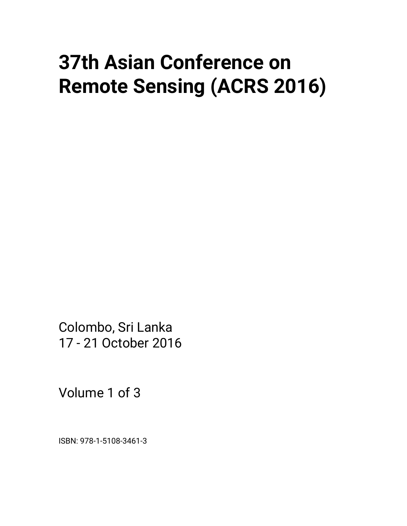# **37th Asian Conference on Remote Sensing (ACRS 2016)**

Colombo, Sri Lanka 17 - 21 October 2016

Volume 1 of 3

ISBN: 978-1-5108-3461-3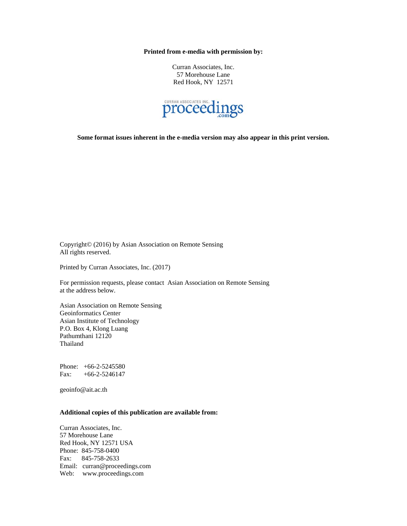**Printed from e-media with permission by:** 

Curran Associates, Inc. 57 Morehouse Lane Red Hook, NY 12571



**Some format issues inherent in the e-media version may also appear in this print version.** 

Copyright© (2016) by Asian Association on Remote Sensing All rights reserved.

Printed by Curran Associates, Inc. (2017)

For permission requests, please contact Asian Association on Remote Sensing at the address below.

Asian Association on Remote Sensing Geoinformatics Center Asian Institute of Technology P.O. Box 4, Klong Luang Pathumthani 12120 Thailand

Phone: +66-2-5245580 Fax: +66-2-5246147

geoinfo@ait.ac.th

## **Additional copies of this publication are available from:**

Curran Associates, Inc. 57 Morehouse Lane Red Hook, NY 12571 USA Phone: 845-758-0400 Fax: 845-758-2633 Email: curran@proceedings.com Web: www.proceedings.com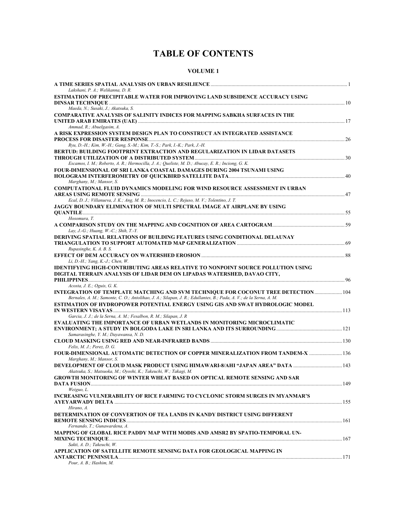# **TABLE OF CONTENTS**

# **VOLUME 1**

| Lakshani, P. A.; Welikanna, D. R.                                                                                  |  |
|--------------------------------------------------------------------------------------------------------------------|--|
| ESTIMATION OF PRECIPITABLE WATER FOR IMPROVING LAND SUBSIDENCE ACCURACY USING                                      |  |
|                                                                                                                    |  |
| Maeda, N.; Susaki, J.; Akatsuka, S.                                                                                |  |
| <b>COMPARATIVE ANALYSIS OF SALINITY INDICES FOR MAPPING SABKHA SURFACES IN THE</b>                                 |  |
|                                                                                                                    |  |
| Ammad, R.; Abuelgasim, A.                                                                                          |  |
| A RISK EXPRESSION SYSTEM DESIGN PLAN TO CONSTRUCT AN INTEGRATED ASSISTANCE                                         |  |
| Ryu, D.-H.; Kim, W.-H.; Gang, S.-M.; Kim, T.-S.; Park, I.-K.; Park, J.-H.                                          |  |
| BERTUD: BUILDING FOOTPRINT EXTRACTION AND REGULARIZATION IN LIDAR DATASETS                                         |  |
|                                                                                                                    |  |
| Escamos, I. M.; Roberto, A. R.; Hermocilla, J. A.; Queliste, M. D.; Abucay, E. R.; Inciong, G. K.                  |  |
| FOUR-DIMENSIONAL OF SRI LANKA COASTAL DAMAGES DURING 2004 TSUNAMI USING                                            |  |
|                                                                                                                    |  |
| Marghany, M.; Mansor, S.                                                                                           |  |
| <b>COMPUTATIONAL FLUID DYNAMICS MODELING FOR WIND RESOURCE ASSESSMENT IN URBAN</b>                                 |  |
|                                                                                                                    |  |
| Ecal, D. J.; Villanueva, J. K.; Ang, M. R.; Inocencio, L. C.; Rejuso, M. V.; Tolentino, J. T.                      |  |
| JAGGY BOUNDARY ELIMINATION OF MULTI SPECTRAL IMAGE AT AIRPLANE BY USING                                            |  |
|                                                                                                                    |  |
| Hosomura, T.                                                                                                       |  |
|                                                                                                                    |  |
| Lay, J.-G.; Huang, W.-C.; Shih, T.-Y.                                                                              |  |
| <b>DERIVING SPATIAL RELATIONS OF BUILDING FEATURES USING CONDITIONAL DELAUNAY</b>                                  |  |
| Rupasinghe, K. A. B. S.                                                                                            |  |
|                                                                                                                    |  |
| Li, D.-H.; Yang, K.-J.; Chen, W.                                                                                   |  |
| IDENTIFYING HIGH-CONTRIBUTING AREAS RELATIVE TO NONPOINT SOURCE POLLUTION USING                                    |  |
| DIGITAL TERRAIN ANALYSIS OF LIDAR DEM ON LIPADAS WATERSHED, DAVAO CITY,                                            |  |
|                                                                                                                    |  |
| Acosta, J. E.; Oguis, G. K.                                                                                        |  |
| INTEGRATION OF TEMPLATE MATCHING AND SVM TECHNIOUE FOR COCONUT TREE DETECTION 104                                  |  |
| Bernales, A. M.; Samonte, C. O.; Antolihao, J. A.; Silapan, J. R.; Edullantes, B.; Pada, A. V.; de la Serna, A. M. |  |
| ESTIMATION OF HYDROPOWER POTENTIAL ENERGY USING GIS AND SWAT HYDROLOGIC MODEL                                      |  |
|                                                                                                                    |  |
| Garcia, J. J.; de la Serna, A. M.; Fesalbon, R. M.; Silapan, J. R                                                  |  |
| EVALUATING THE IMPORTANCE OF URBAN WETLANDS IN MONITORING MICROCLIMATIC                                            |  |
| Samarasinghe, Y. M.; Dayawansa, N. D.                                                                              |  |
|                                                                                                                    |  |
| Felix, M. J.; Perez, D. G.                                                                                         |  |
| FOUR-DIMENSIONAL AUTOMATIC DETECTION OF COPPER MINERALIZATION FROM TANDEM-X  136                                   |  |
| Marghany, M.; Mansor, S.                                                                                           |  |
| DEVELOPMENT OF CLOUD MASK PRODUCT USING HIMAWARI-8/AHI "JAPAN AREA" DATA  143                                      |  |
| Akatsuka, S.; Matsuoka, M.; Oyoshi, K.; Takeuchi, W.; Takagi, M.                                                   |  |
| <b>GROWTH MONITORING OF WINTER WHEAT BASED ON OPTICAL REMOTE SENSING AND SAR</b>                                   |  |
|                                                                                                                    |  |
| Weiguo, L.                                                                                                         |  |
| <b>INCREASING VULNERABILITY OF RICE FARMING TO CYCLONIC STORM SURGES IN MYANMAR'S</b>                              |  |
|                                                                                                                    |  |
| Hirano, A.                                                                                                         |  |
| DETERMINATION OF CONVERTION OF TEA LANDS IN KANDY DISTRICT USING DIFFERENT                                         |  |
|                                                                                                                    |  |
| Fernando, T.; Gunawardena, A.<br>MAPPING OF GLOBAL RICE PADDY MAP WITH MODIS AND AMSR2 BY SPATIO-TEMPORAL UN-      |  |
|                                                                                                                    |  |
| Sakti, A. D.; Takeuchi, W.                                                                                         |  |
| APPLICATION OF SATELLITE REMOTE SENSING DATA FOR GEOLOGICAL MAPPING IN                                             |  |
|                                                                                                                    |  |
| Pour, A. B.; Hashim, M.                                                                                            |  |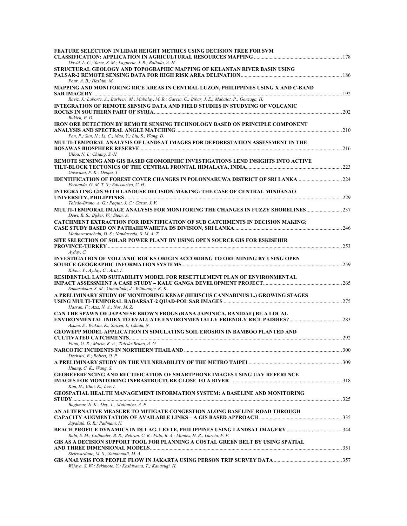| FEATURE SELECTION IN LIDAR HEIGHT METRICS USING DECISION TREE FOR SVM                                                                                                     |  |
|---------------------------------------------------------------------------------------------------------------------------------------------------------------------------|--|
| David, L. C.; Sarte, S. M.; Laguerta, J. R.; Ballado, A. H.<br>STRUCTURAL GEOLOGY AND TOPOGRAPHIC MAPPING OF KELANTAN RIVER BASIN USING                                   |  |
| Pour, A. B.; Hashim, M.                                                                                                                                                   |  |
| MAPPING AND MONITORING RICE AREAS IN CENTRAL LUZON, PHILIPPINES USING X AND C-BAND                                                                                        |  |
| Raviz, J.; Laborte, A.; Barbieri, M.; Mabalay, M. R.; Garcia, C.; Bibar, J. E.; Mabalot, P.; Gonzaga, H.                                                                  |  |
| <b>INTEGRATION OF REMOTE SENSING DATA AND FIELD STUDIES IN STUDYING OF VOLCANIC</b><br>Rukieh, P. D.                                                                      |  |
| IRON ORE DETECTION BY REMOTE SENSING TECHNOLOGY BASED ON PRINCIPLE COMPONENT<br>Pan, P.; Sun, H.; Li, C.; Mao, Y.; Liu, S.; Wang, D.                                      |  |
| MULTI-TEMPORAL ANALYSIS OF LANDSAT IMAGES FOR DEFORESTATION ASSESSMENT IN THE<br>Ulloa, N. I.; Chiang, S.-H.                                                              |  |
| REMOTE SENSING AND GIS BASED GEOMORPHIC INVESTIGATIONS LEND INSIGHTS INTO ACTIVE                                                                                          |  |
| Goswami, P. K.; Deopa, T.<br>IDENTIFICATION OF FOREST COVER CHANGES IN POLONNARUWA DISTRICT OF SRI LANKA 224<br>Fernando, G. M. T. S.; Edussuriya, C. H.                  |  |
| INTEGRATING GIS WITH LANDUSE DECISION-MAKING: THE CASE OF CENTRAL MINDANAO                                                                                                |  |
| Toledo-Bruno, A. G.; Paquit, J. C.; Casas, J. V.<br>MULTI-TEMPORAL IMAGE ANALYSIS FOR MONITORING THE CHANGES IN FUZZY SHORELINES237<br>Dewi, R. S.; Bijker, W.; Stein, A. |  |
| CATCHMENT EXTRACTION FOR IDENTIFICATION OF SUB CATCHMENTS IN DECISION MAKING;<br>Matharaarachchi, D. S.; Nandaseela, S. M. A. T.                                          |  |
| SITE SELECTION OF SOLAR POWER PLANT BY USING OPEN SOURCE GIS FOR ESKISEHIR                                                                                                |  |
| Ayday, C.<br>INVESTIGATION OF VOLCANIC ROCKS ORIGIN ACCORDING TO ORE MINING BY USING OPEN<br>Kibici, Y.; Ayday, C.; Arat, I.                                              |  |
| RESIDENTIAL LAND SUITABILITY MODEL FOR RESETTLEMENT PLAN OF ENVIRONMENTAL<br>Samarakoon, S. M.; Gunatilake, J.; Withanage, K. K.                                          |  |
| A PRELIMINARY STUDY OF MONITORING KENAF (HIBISCUS CANNABINUS L.) GROWING STAGES<br>Hassan, F.; Aziz, N. A.; Nor, M. Z.                                                    |  |
| CAN THE SPAWN OF JAPANESE BROWN FROGS (RANA JAPONICA, RANIDAE) BE A LOCAL<br>Asano, S.; Wakita, K.; Saizen, I.; Okuda, N.                                                 |  |
| <b>GEOWEPP MODEL APPLICATION IN SIMULATING SOIL EROSION IN BAMBOO PLANTED AND</b>                                                                                         |  |
| Puno, G. R.; Marin, R. A.; Toledo-Bruno, A. G.<br>Dechsiri, B.; Robert, O. P.                                                                                             |  |
| Huang, C. K.; Wang, S.                                                                                                                                                    |  |
| <b>GEOREFERENCING AND RECTIFICATION OF SMARTPHONE IMAGES USING UAV REFERENCE</b><br>Kim, H.; Choi, K.; Lee, I.                                                            |  |
| <b>GEOSPATIAL HEALTH MANAGEMENT INFORMATION SYSTEM: A BASELINE AND MONITORING</b><br>Baghmar, N. K.; Dey, T.; Multaniya, A. P.                                            |  |
| AN ALTERNATIVE MEASURE TO MITIGATE CONGESTION ALONG BASELINE ROAD THROUGH                                                                                                 |  |
| Javalath, G. R.; Padmani, N.<br>Rabi, S. M.; Collander, B. R.; Beltran, C. R.; Palo, R. A.; Montes, H. R.; Garcia, P. P.                                                  |  |
| GIS AS A DECISION SUPPORT TOOL FOR PLANNING A COSTAL GREEN BELT BY USING SPATIAL<br>Sirirwardane, M. S.; Samanmali, M. A.                                                 |  |
| Wijaya, S. W.; Sekimoto, Y.; Kashiyama, T.; Kanasugi, H.                                                                                                                  |  |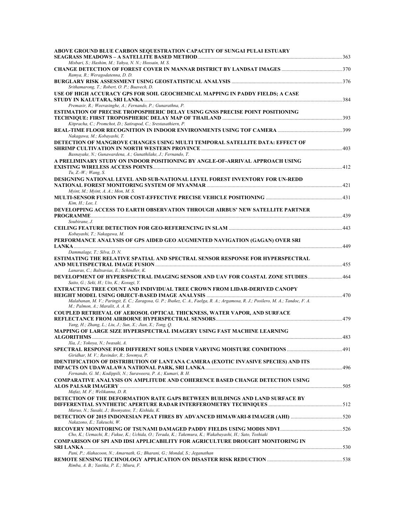| ABOVE GROUND BLUE CARBON SEQUESTRATION CAPACITY OF SUNGAI PULAI ESTUARY                                                                                                |  |
|------------------------------------------------------------------------------------------------------------------------------------------------------------------------|--|
| Misbari, S.; Hashim, M.; Yahya, N. N.; Hossain, M. S.                                                                                                                  |  |
| Ramya, R.; Weragodatenna, D. D.                                                                                                                                        |  |
| Srithamarong, T.; Robert, O. P.; Buavech, D.                                                                                                                           |  |
| USE OF HIGH ACCURACY GPS FOR SOIL GEOCHEMICAL MAPPING IN PADDY FIELDS; A CASE                                                                                          |  |
| Premasir, R.; Weerasinghe, A.; Fernando, P.; Gunarathna, P.                                                                                                            |  |
| <b>ESTIMATION OF PRECISE TROPOSPHERIC DELAY USING GNSS PRECISE POINT POSITIONING</b>                                                                                   |  |
| Kitpracha, C.; Promchot, D.; Satirapod, C.; Srestasathiern, P.                                                                                                         |  |
| Nakagawa, M.; Kobayashi, T.                                                                                                                                            |  |
| DETECTION OF MANGROVE CHANGES USING MULTI TEMPORAL SATELLITE DATA: EFFECT OF<br>Basnayake, N.; Gunawardena, A.; Gunathilake, J.; Fernando, T.                          |  |
| A PRELIMINARY STUDY ON INDOOR POSITIONING BY ANGLE-OF-ARRIVAL APPROACH USING                                                                                           |  |
| Tu, Z.-W.; Wang, S.                                                                                                                                                    |  |
| DESIGNING NATIONAL LEVEL AND SUB-NATIONAL LEVEL FOREST INVENTORY FOR UN-REDD                                                                                           |  |
| Myint, M.; Myint, A. A.; Mon, M. S.<br>131 - MULTI-SENSOR FUSION FOR COST-EFFECTIVE PRECISE VEHICLE POSITIONING ……………………………………………………………………                             |  |
| Kim, H.; Lee, I.                                                                                                                                                       |  |
| DEVELOPPING ACCESS TO EARTH OBSERVATION THROUGH AIRBUS' NEW SATELLITE PARTNER<br>Soubirane, J.                                                                         |  |
|                                                                                                                                                                        |  |
| Kobayashi, T.; Nakagawa, M.<br>PERFORMANCE ANALYSIS OF GPS AIDED GEO AUGMENTED NAVIGATION (GAGAN) OVER SRI                                                             |  |
|                                                                                                                                                                        |  |
| Dammalage, T.; Silva, D. N.                                                                                                                                            |  |
| ESTIMATING THE RELATIVE SPATIAL AND SPECTRAL SENSOR RESPONSE FOR HYPERSPECTRAL                                                                                         |  |
| Lanaras, C.; Baltsavias, E.; Schindler, K.                                                                                                                             |  |
| <b>DEVELOPMENT OF HYPERSPECTRAL IMAGING SENSOR AND UAV FOR COASTAL ZONE STUDIES 464</b><br>Saito, G.; Seki, H.; Uto, K.; Kosugi, Y.                                    |  |
| EXTRACTING TREE COUNT AND INDIVIDUAL TREE CROWN FROM LIDAR-DERIVED CANOPY                                                                                              |  |
| Malabanan, M. V.; Paringit, E. C.; Zaragosa, G. P.; Ibañez, C. A., Faelga, R. A.; Argamosa, R. J.; Posilero, M. A.; Tandoc, F. A.<br>M.; Palmon, A.; Maralit, A. A. R. |  |
| COUPLED RETRIEVAL OF AEROSOL OPTICAL THICKNESS, WATER VAPOR, AND SURFACE                                                                                               |  |
| Yang, H.; Zhang, L.; Liu, J.; Sun, X.; Jian, X.; Tong, Q.<br>MAPPING OF LARGE SIZE HYPERSPECTRAL IMAGERY USING FAST MACHINE LEARNING                                   |  |
| Xia, J.; Yokoya, N.; Iwasaki, A.                                                                                                                                       |  |
| .91 [9] SPECTRAL RESPONSE FOR DIFFERENT SOILS UNDER VARYING MOISTURE CONDITIONS                                                                                        |  |
| Giridhar, M. V.; Ravinder, R.; Sowmya, P.<br><b>IDENTIFICATION OF DISTRIBUTION OF LANTANA CAMERA (EXOTIC INVASIVE SPECIES) AND ITS</b>                                 |  |
| Fernando, G. M.; Kodippili, N.; Suraweera, P. A.; Kumari, B. H.                                                                                                        |  |
| <b>COMPARATIVE ANALYSIS ON AMPLITUDE AND COHERENCE BASED CHANGE DETECTION USING</b>                                                                                    |  |
| Mafaz, M. F.; Welikanna, D. R.                                                                                                                                         |  |
| DETECTION OF THE DEFORMATION RATE GAPS BETWEEN BUILDINGS AND LAND SURFACE BY                                                                                           |  |
| Maruo, N.; Susaki, J.; Boonyatee, T.; Kishida, K.                                                                                                                      |  |
| Nakazono, E.; Takeuchi, W.                                                                                                                                             |  |
| Cho, K.; Uemachi, R.; Fukue, K.; Uchida, O.; Terada, K.; Takemura, K.; Wakabayashi, H.; Sato, Toshiaki                                                                 |  |
| <b>COMPARISON OF SPI AND IDSI APPLICABILITY FOR AGRICULTURE DROUGHT MONITORING IN</b>                                                                                  |  |
|                                                                                                                                                                        |  |
| Pani, P.; Alahacoon, N.; Amarnath, G.; Bharani, G.; Mondal, S.; Jeganathan                                                                                             |  |
| Rimba, A. B.; Yastika, P. E.; Miura, F.                                                                                                                                |  |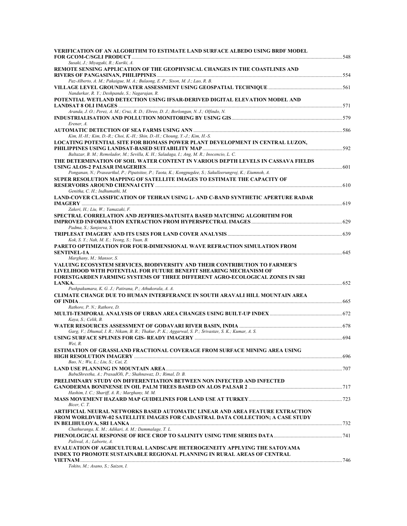| VERIFICATION OF AN ALGORITHM TO ESTIMATE LAND SURFACE ALBEDO USING BRDF MODEL                                                 |  |
|-------------------------------------------------------------------------------------------------------------------------------|--|
| Susaki, J.; Miyagaki, R.; Kuriki, A.                                                                                          |  |
| REMOTE SENSING APPLICATION OF THE GEOPHYSICAL CHANGES IN THE COASTLINES AND                                                   |  |
|                                                                                                                               |  |
| Paz-Alberto, A. M.; Pakaigue, M. A.; Bulaong, E. P.; Sison, M. J.; Lao, R. B.                                                 |  |
|                                                                                                                               |  |
| Nandurkar, R. Y.; Deshpande, S.; Nagarajan, R.<br>POTENTIAL WETLAND DETECTION USING IFSAR-DERIVED DIGITAL ELEVATION MODEL AND |  |
|                                                                                                                               |  |
| Aranda, J. O.; Perez, A. M.; Cruz, R. D.; Ebreo, D. J.; Borlongan, N. J.; Olfindo, N.                                         |  |
|                                                                                                                               |  |
| Erener, A.                                                                                                                    |  |
| Kim, H.-H.; Kim, D.-R.; Choi, K.-H.; Shin, D.-H.; Choung, Y.-J.; Kim, H.-S.                                                   |  |
| LOCATING POTENTIAL SITE FOR BIOMASS POWER PLANT DEVELOPMENT IN CENTRAL LUZON,                                                 |  |
|                                                                                                                               |  |
| Baltazar, B. M.; Remolador, M.; Sevilla, K. H.; Saladaga, I.; Ang, M. R.; Inocencio, L. C.                                    |  |
| THE DETERMINATION OF SOIL WATER CONTENT IN VARIOUS DEPTH LEVELS IN CASSAVA FIELDS                                             |  |
| Ponganan, N.; Praseartkul, P.; Pipatsitee, P.; Taota, K.; Kongpugdee, S.; Sakulleerungroj, K.; Eiumnoh, A.                    |  |
| SUPER RESOLUTION MAPPING OF SATELLITE IMAGES TO ESTIMATE THE CAPACITY OF                                                      |  |
|                                                                                                                               |  |
| Genitha, C. H.; Indhumathi, M.                                                                                                |  |
| LAND-COVER CLASSIFICATION OF TEHRAN USING L- AND C-BAND SYNTHETIC APERTURE RADAR                                              |  |
| Zakeri, H.; Liu, W.; Yamazaki, F.                                                                                             |  |
| SPECTRAL CORRELATION AND JEFFRIES-MATUSITA BASED MATCHING ALGORITHM FOR                                                       |  |
|                                                                                                                               |  |
| Padma, S.; Sanjeeva, S.                                                                                                       |  |
|                                                                                                                               |  |
| Kok, S. Y.; Nah, M. E.; Yeong, S.; Yuan, B.<br>PARETO OPTIMIZATION FOR FOUR-DIMENSIONAL WAVE REFRACTION SIMULATION FROM       |  |
|                                                                                                                               |  |
| Marghany, M.; Mansor, S.                                                                                                      |  |
| VALUING ECOSYSTEM SERVICES, BIODIVERSITY AND THEIR CONTRIBUTION TO FARMER'S                                                   |  |
| LIVELIHOOD WITH POTENTIAL FOR FUTURE BENEFIT SHEARING MECHANISM OF                                                            |  |
| FORESTGARDEN FARMING SYSTEMS OF THREE DIFFERENT AGRO-ECOLOGICAL ZONES IN SRI                                                  |  |
| Pushpakumara, K. G. J.; Patirana, P.; Athukorala, A. A.                                                                       |  |
| CLIMATE CHANGE DUE TO HUMAN INTERFERANCE IN SOUTH ARAVALI HILL MOUNTAIN AREA                                                  |  |
|                                                                                                                               |  |
| Rathore, P. N.; Rathore, D.                                                                                                   |  |
| Kaya, S.; Celik, B.                                                                                                           |  |
|                                                                                                                               |  |
| Garg, V.; Dhumal, I. R.; Nikam, B. R.; Thakur, P. K.; Aggarwal, S. P.; Srivastav, S. K.; Kumar, A. S.                         |  |
|                                                                                                                               |  |
| Wei, R.                                                                                                                       |  |
| ESTIMATION OF GRASSLAND FRACTIONAL COVERAGE FROM SURFACE MINING AREA USING                                                    |  |
| Bao, N.; Wu, L.; Liu, S.; Cai, Z.                                                                                             |  |
|                                                                                                                               |  |
| BabuShrestha, A.; PrasadOli, P.; Shahnawaz, D.; Rimal, D. B.                                                                  |  |
| PRELIMINARY STUDY ON DIFFERENTIATION BETWEEN NON INFECTED AND INFECTED                                                        |  |
| Hashim, I. C.; Shariff, A. R.; Marghany, M. M.                                                                                |  |
|                                                                                                                               |  |
| Bicer, C. T.                                                                                                                  |  |
| ARTIFICIAL NEURAL NETWORKS BASED AUTOMATIC LINEAR AND AREA FEATURE EXTRACTION                                                 |  |
| FROM WORLDVIEW-02 SATELLITE IMAGES FOR CADASTRAL DATA COLLECTION; A CASE STUDY                                                |  |
| Chathuranga, K. M.; Adikari, A. M.; Dammalage, T. L.                                                                          |  |
|                                                                                                                               |  |
| Paliwal, A.; Laborte, A.                                                                                                      |  |
| EVALUATION OF AGRICULTURAL LANDSCAPE HETEROGENEITY APPLYING THE SATOYAMA                                                      |  |
| INDEX TO PROMOTE SUSTAINABLE REGIONAL PLANNING IN RURAL AREAS OF CENTRAL                                                      |  |
| Tokito, M.; Asano, S.; Saizen, I.                                                                                             |  |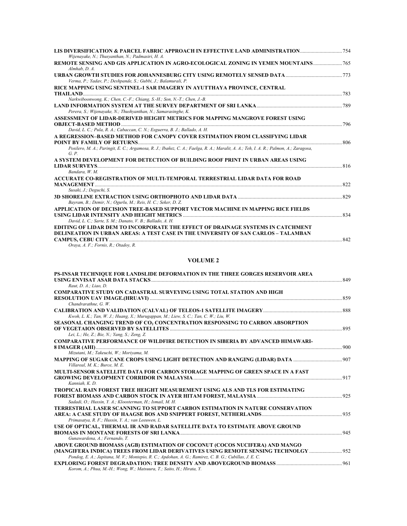| LIS DIVERSIFICATION & PARCEL FABRIC APPROACH IN EFFECTIVE LAND ADMINISTRATION<br>Wijenayake, N.; Thusyanthan, N.; Padmasiri, H. A.            |      |
|-----------------------------------------------------------------------------------------------------------------------------------------------|------|
| REMOTE SENSING AND GIS APPLICATION IN AGRO-ECOLOGICAL ZONING IN YEMEN MOUNTAINS<br>$Almhab$ , $D$ , $A$ .                                     |      |
| Verma, P.; Yadav, P.; Deshpande, S.; Gubbi, J.; Balamurali, P.                                                                                |      |
| RICE MAPPING USING SENTINEL-1 SAR IMAGERY IN AYUTTHAYA PROVINCE, CENTRAL                                                                      | 783  |
| Narkwiboonwong, K.; Chen, C.-F.; Chiang, S.-H.; Son, N.-T.; Chen, J.-B.                                                                       |      |
| Perera, S.; Wijenayake, N.; Thushyanthan, N.; Samarasinghe, K.                                                                                |      |
| ASSESSMENT OF LIDAR-DERIVED HEIGHT METRICS FOR MAPPING MANGROVE FOREST USING                                                                  |      |
|                                                                                                                                               | 796  |
| David, L. C.; Pula, R. A.; Cabaccan, C. N.; Esguerra, B. J.; Ballado, A. H.                                                                   |      |
| A REGRESSION–BASED METHOD FOR CANOPY COVER ESTIMATION FROM CLASSIFYING LIDAR                                                                  | .806 |
| Posilero, M. A.; Paringit, E. C.; Argamosa, R. J.; Ibañez, C. A.; Faelga, R. A.; Maralit, A. A.; Teh, I. A. R.; Palmon, A.; Zaragosa,<br>G.P. |      |
| A SYSTEM DEVELOPMENT FOR DETECTION OF BUILDING ROOF PRINT IN URBAN AREAS USING                                                                |      |
| <b>LIDAR SURVEYS</b><br>Bandara, W. M.                                                                                                        | 816  |
| ACCURATE CO-REGISTRATION OF MULTI-TEMPORAL TERRESTRIAL LIDAR DATA FOR ROAD                                                                    |      |
| <b>MANAGEMENT</b>                                                                                                                             | 822  |
| Susaki, J.; Deguchi, S.                                                                                                                       |      |
| Bayram, B.; Demir, N.; Ogurlu, M.; Reis, H. C.; Seker, D. Z.                                                                                  | 829  |
| APPLICATION OF DECISION TREE-BASED SUPPORT VECTOR MACHINE IN MAPPING RICE FIELDS                                                              |      |
| USING LIDAR INTENSITY AND HEIGHT METRICS<br>David, L. C.; Sarte, S. M.; Danato, V. B.; Ballado, A. H.                                         | 834  |
| EDITING OF LIDAR DEM TO INCORPORATE THE EFFECT OF DRAINAGE SYSTEMS IN CATCHMENT                                                               |      |
| DELINEATION IN URBAN AREAS: A TEST CASE IN THE UNIVERSITY OF SAN CARLOS - TALAMBAN                                                            |      |
|                                                                                                                                               | 842  |

#### *Oraya, A. F.; Fornis, R.; Otadoy, R.*

### **VOLUME 2**

| PS-INSAR TECHNIQUE FOR LANDSLIDE DEFORMATION IN THE THREE GORGES RESERVOIR AREA                        |     |
|--------------------------------------------------------------------------------------------------------|-----|
|                                                                                                        |     |
| Raut. D. A.: Liao. D.                                                                                  |     |
| <b>COMPARATIVE STUDY ON CADASTRAL SURVEYING USING TOTAL STATION AND HIGH</b>                           |     |
|                                                                                                        |     |
| Chandrarathne, G. W.                                                                                   |     |
|                                                                                                        |     |
| Kwoh, L. K.; Tan, W. J.; Huang, X.; Murugappan, M.; Liew, S. C.; Tan, C. W.; Liu, W.                   |     |
| SEASONAL CHANGING TREND OF CO, CONCENTRATION RESPONSING TO CARBON ABSORPTION                           |     |
|                                                                                                        |     |
| Lei, L.; He, Z.; Bie, N.; Yang, S.; Zeng, Z.                                                           |     |
| <b>COMPARATIVE PERFORMANCE OF WILDFIRE DETECTION IN SIBERIA BY ADVANCED HIMAWARI-</b>                  |     |
|                                                                                                        | 900 |
| Mizutani, M.; Takeuchi, W.; Moriyama, M.                                                               |     |
|                                                                                                        |     |
| Villareal, M. K.; Burce, M. E.                                                                         |     |
| MULTI-SENSOR SATELLITE DATA FOR CARBON STORAGE MAPPING OF GREEN SPACE IN A FAST                        |     |
|                                                                                                        |     |
| Kanniah, K. D.                                                                                         |     |
| TROPICAL RAIN FOREST TREE HEIGHT MEASUREMENT USING ALS AND TLS FOR ESTIMATING                          |     |
|                                                                                                        |     |
| Sadadi, O.; Hussin, Y. A.; Kloosterman, H.; Ismail, M. H.                                              |     |
| TERRESTRIAL LASER SCANNING TO SUPPORT CARBON ESTIMATION IN NATURE CONSERVATION                         |     |
|                                                                                                        |     |
| Primasatya, R. F.; Hussin, Y. A.; van Leeuwen, L.                                                      |     |
| USE OF OPTICAL, THERMAL IR AND RADAR SATELLITE DATA TO ESTIMATE ABOVE GROUND                           |     |
| <b>BIOMASS IN MONTANE FORESTS OF SRI LANKA</b>                                                         | 945 |
| Gunawardena, A.; Fernando, T.                                                                          |     |
| ABOVE GROUND BIOMASS (AGB) ESTIMATION OF COCONUT (COCOS NUCIFERA) AND MANGO                            |     |
| (MANGIFERA INDICA) TREES FROM LIDAR DERIVATIVES USING REMOTE SENSING TECHNOLGY  952                    |     |
| Pondog, E. A.; Japitana, M. V.; Montepio, R. C.; Apdohan, A. G.; Ramirez, C. B. G.; Cubillas, J. E. C. |     |
|                                                                                                        | 961 |
| Korom, A.; Phua, M.-H.; Wong, W.; Matsuura, T.; Saito, H.; Hirata, Y.                                  |     |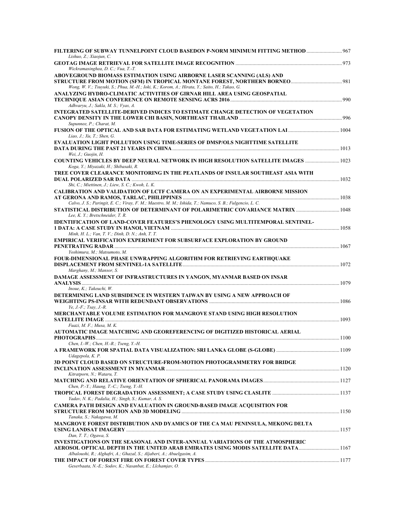| Lishuo, Z.; Xiaojun, C.<br>Wickramasinghea, D. C.; Vua, T.-T.                                                                                                                                                                   |  |
|---------------------------------------------------------------------------------------------------------------------------------------------------------------------------------------------------------------------------------|--|
| ABOVEGROUND BIOMASS ESTIMATION USING AIRBORNE LASER SCANNING (ALS) AND<br>Wong, W. V.; Tsuyuki, S.; Phua, M.-H.; Ioki, K.; Korom, A.; Hirata, Y.; Saito, H.; Takao, G.                                                          |  |
| ANALYZING HYDRO-CLIMATIC ACTIVITIES OF GIRNAR HILL AREA USING GEOSPATIAL<br>Adhvaryu, J.; Sakla, M. S.; Vyas, A.                                                                                                                |  |
| <b>INTEGRATED SATELLITE-DERIVED INDICES TO ESTIMATE CHANGE DETECTION OF VEGETATION</b><br>Supunnee, P.; Charat, M.                                                                                                              |  |
| Liao, J.; Xu, T.; Shen, G.                                                                                                                                                                                                      |  |
| <b>EVALUATION LIGHT POLLUTION USING TIME-SERIES OF DMSP/OLS NIGHTTIME SATELLITE</b><br>Wei, $J$ .; Guojin, $H$ .                                                                                                                |  |
| COUNTING VEHICLES BY DEEP NEURAL NETWORK IN HIGH RESOLUTION SATELLITE IMAGES<br>Koga, Y.; Miyazaki, H.; Shibasaki, R.                                                                                                           |  |
| TREE COVER CLEARANCE MONITORING IN THE PEATLANDS OF INSULAR SOUTHEAST ASIA WITH<br>Shi, C.; Miettinen, J.; Liew, S. C.; Kwoh, L. K.                                                                                             |  |
| CALIBRATION AND VALIDATION OF LCTF CAMERA ON AN EXPERIMENTAL AIRBORNE MISSION                                                                                                                                                   |  |
| Calvo, J. S.; Paringit, E. C.; Viray, F. M.; Maestro, M. M.; Ishida, T.; Namuco, S. B.; Fulgencio, L. C.<br>STATISTICAL DISTRIBUTION OF DETERMINANT OF POLARIMETRIC COVARIANCE MATRIX  1048<br>Lee, K. Y.; Bretschneider, T. R. |  |
| <b>IDENTIFICATION OF LAND-COVER FEATURES'S PHENOLOGY USING MULTITEMPORAL SENTINEL-</b><br>Minh, H. L.; Van, T. V.; Dinh, D. N.; Anh, T. T.                                                                                      |  |
| <b>EMPIRICAL VERIFICATION EXPERIMENT FOR SUBSURFACE EXPLORATION BY GROUND</b><br>Yoshimura, M.; Matsumoto, M.                                                                                                                   |  |
| FOUR-DIMENSIONAL PHASE UNWRAPPING ALGORITHM FOR RETRIEVING EARTHQUAKE<br>Marghany, M.; Mansor, S.                                                                                                                               |  |
| DAMAGE ASSESSMENT OF INFRASTRUCTURES IN YANGON, MYANMAR BASED ON INSAR                                                                                                                                                          |  |
| Inoue, K.; Takeuchi, W.<br>DETERMINING LAND SUBSIDENCE IN WESTERN TAIWAN BY USING A NEW APPROACH OF<br>$Ye, J.-F.; Tsay, J.-R.$                                                                                                 |  |
| MERCHANTABLE VOLUME ESTIMATION FOR MANGROVE STAND USING HIGH RESOLUTION<br><b>SATELLITE IMAGE</b>                                                                                                                               |  |
| Fuazi, M. F.; Musa, M. K.<br>AUTOMATIC IMAGE MATCHING AND GEOREFERENCING OF DIGITIZED HISTORICAL AERIAL                                                                                                                         |  |
| Chen, I.-W.; Chen, H.-R.; Tseng, Y.-H.                                                                                                                                                                                          |  |
| Udagepola, K. P.<br>3D POINT CLOUD BASED ON STRUCTURE-FROM-MOTION PHOTOGRAMMETRY FOR BRIDGE                                                                                                                                     |  |
| Kitratporn, N.; Wataru, T.<br>Chen, P.-Y.; Haung, T.-C.; Tseng, Y.-H.                                                                                                                                                           |  |
| Yadav, N. K.; Padalia, H.; Singh, S.; Kumar, A. S.                                                                                                                                                                              |  |
| <b>CAMERA PATH DESIGN AND EVALUATION IN GROUND-BASED IMAGE ACOUISITION FOR</b><br>Tanaka, S.; Nakagawa, M.                                                                                                                      |  |
| MANGROVE FOREST DISTRIBUTION AND DYAMICS OF THE CA MAU PENINSULA, MEKONG DELTA<br>Dan, T. T.; Ogawa, S.                                                                                                                         |  |
| INVESTIGATIONS ON THE SEASONAL AND INTER-ANNUAL VARIATIONS OF THE ATMOSPHERIC                                                                                                                                                   |  |
| Albaloushi, R.; Alghafri, A.; Ghazal, S.; Aljaberi, A.; Abuelgasim, A.<br>Geserbaata, N.-E.; Sodov, K.; Nasanbat, E.; Llchamjav, O.                                                                                             |  |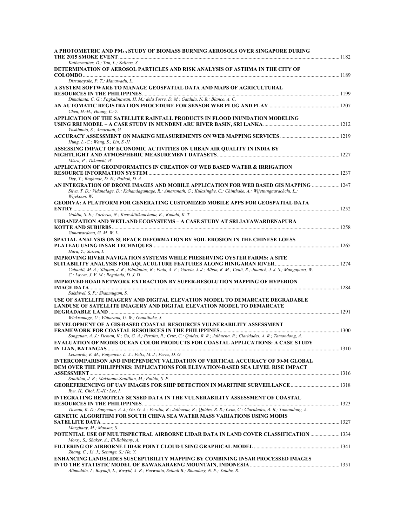| A PHOTOMETRIC AND PM <sub>2.5</sub> STUDY OF BIOMASS BURNING AEROSOLS OVER SINGAPORE DURING                                                                                                                     |  |
|-----------------------------------------------------------------------------------------------------------------------------------------------------------------------------------------------------------------|--|
| Kalbermatter, D.; Tan, L.; Salinas, S.                                                                                                                                                                          |  |
| DETERMINATION OF AEROSOL PARTICLES AND RISK ANALYSIS OF ASTHMA IN THE CITY OF                                                                                                                                   |  |
| Dissanayake, P. T.; Manawadu, L.                                                                                                                                                                                |  |
| A SYSTEM SOFTWARE TO MANAGE GEOSPATIAL DATA AND MAPS OF AGRICULTURAL                                                                                                                                            |  |
|                                                                                                                                                                                                                 |  |
| Dimalanta, C. G.; Pagkalinawan, H. M.; dela Torre, D. M.; Gatdula, N. B.; Blanco, A. C.                                                                                                                         |  |
|                                                                                                                                                                                                                 |  |
| Chen, H.-H.; Huang, C.-Y.                                                                                                                                                                                       |  |
| APPLICATION OF THE SATELLITE RAINFALL PRODUCTS IN FLOOD INUNDATION MODELING                                                                                                                                     |  |
| Yoshimoto, S.; Amarnath, G.                                                                                                                                                                                     |  |
|                                                                                                                                                                                                                 |  |
| Hung, L.-C.; Wang, S.; Lin, S.-H.                                                                                                                                                                               |  |
| ASSESSING IMPACT OF ECONOMIC ACTIVITIES ON URBAN AIR QUALITY IN INDIA BY                                                                                                                                        |  |
| Misra, P.; Takeuchi, W.                                                                                                                                                                                         |  |
| APPLICATION OF GEOINFORMATICS IN CREATION OF WEB BASED WATER & IRRIGATION                                                                                                                                       |  |
|                                                                                                                                                                                                                 |  |
| Dey, T.; Baghmar, D. N.; Pathak, D. A.                                                                                                                                                                          |  |
| AN INTEGRATION OF DRONE IMAGES AND MOBILE APPLICATION FOR WEB BASED GIS MAPPING  1247<br>Silva, T. D.; Vidanalage, D.; Kahandagamage, R.; Amaranath, G.; Kulasinghe, C.; Chinthake, A.; Wijettungaarachchi, L.; |  |
| Wijekoon, W.                                                                                                                                                                                                    |  |
| <b>GEODIVA: A PLATFORM FOR GENERATING CUSTOMIZED MOBILE APPS FOR GEOSPATIAL DATA</b>                                                                                                                            |  |
|                                                                                                                                                                                                                 |  |
| Goldin, S. E.; Varieras, N.; Keawkittikanchana, K.; Rudahl, K. T.                                                                                                                                               |  |
| URBANIZATION AND WETLAND ECOSYSTEMS - A CASE STUDY AT SRI JAYAWARDENAPURA                                                                                                                                       |  |
| Gunawardena, G. M. W. L.                                                                                                                                                                                        |  |
| SPATIAL ANALYSIS ON SURFACE DEFORMATION BY SOIL EROSION IN THE CHINESE LOESS                                                                                                                                    |  |
|                                                                                                                                                                                                                 |  |
| Hara, Y.; Saizen, I.                                                                                                                                                                                            |  |
| IMPROVING RIVER NAVIGATION SYSTEMS WHILE PRESERVING OYSTER FARMS: A SITE                                                                                                                                        |  |
|                                                                                                                                                                                                                 |  |
| Cabanlit, M. A.; Silapan, J. R.; Edullantes, B.; Pada, A. V.; Garcia, J. J.; Albon, R. M.; Cenit, R.; Juanich, J. J. S.; Mangaporo, W.                                                                          |  |
| C.; Layva, J. V. M.; Regalado, D. J. D.<br><b>IMPROVED ROAD NETWORK EXTRACTION BY SUPER-RESOLUTION MAPPING OF HYPERION</b>                                                                                      |  |
|                                                                                                                                                                                                                 |  |
| Sakthivel, S. P.; Shanmugam, S.                                                                                                                                                                                 |  |
| USE OF SATELLITE IMAGERY AND DIGITAL ELEVATION MODEL TO DEMARCATE DEGRADABLE                                                                                                                                    |  |
| LANDUSE OF SATELLITE IMAGERY AND DIGITAL ELEVATION MODEL TO DEMARCATE                                                                                                                                           |  |
|                                                                                                                                                                                                                 |  |
| Wickramage, U.; Vitharana, U. W.; Gunatilake, J.<br>DEVELOPMENT OF A GIS-BASED COASTAL RESOURCES VULNERABILITY ASSESSMENT                                                                                       |  |
|                                                                                                                                                                                                                 |  |
| Songcuan, A. J.; Ticman, K.; Go, G. A.; Peralta, R.; Cruz, C.; Quides, R. R.; Jalbuena, R.; Claridades, A. R.; Tamondong, A.                                                                                    |  |
| <b>EVALUATION OF MODIS OCEAN COLOR PRODUCTS FOR COASTAL APPLICATIONS: A CASE STUDY</b>                                                                                                                          |  |
|                                                                                                                                                                                                                 |  |
| Leonardo, E. M.; Fulgencio, L. A.; Felix, M. J.; Perez, D. G.                                                                                                                                                   |  |
| <b>INTERCOMPARISON AND INDEPENDENT VALIDATION OF VERTICAL ACCURACY OF 30-M GLOBAL</b><br>DEM OVER THE PHILIPPINES: IMPLICATIONS FOR ELEVATION-BASED SEA LEVEL RISE IMPACT                                       |  |
|                                                                                                                                                                                                                 |  |
| Santillan, J. R.; Makinano-Santillan, M.; Pulido, S. P.                                                                                                                                                         |  |
|                                                                                                                                                                                                                 |  |
| Ryu, H., Choi, K.-H.; Lee, I.                                                                                                                                                                                   |  |
| INTEGRATING REMOTELY SENSED DATA IN THE VULNERABILITY ASSESSMENT OF COASTAL                                                                                                                                     |  |
| Ticman, K. D.; Songcuan, A. J.; Go, G. A.; Peralta, R.; Jalbuena, R.; Quides, R. R.; Cruz, C.; Claridades, A. R.; Tamondong, A.                                                                                 |  |
| <b>GENETIC ALGORITHM FOR SOUTH CHINA SEA WATER MASS VARIATIONS USING MODIS</b>                                                                                                                                  |  |
|                                                                                                                                                                                                                 |  |
| Marghany, M.; Mansor, S.                                                                                                                                                                                        |  |
| POTENTIAL USE OF MULTISPECTRAL AIRBORNE LIDAR DATA IN LAND COVER CLASSIFICATION  1334                                                                                                                           |  |
| Morsy, S.; Shaker, A.; El-Rabbany, A.                                                                                                                                                                           |  |
|                                                                                                                                                                                                                 |  |
| Zhang, C.; Li, J.; Setunge, S.; He, Y.<br>ENHANCING LANDSLIDES SUSCEPTIBILITY MAPPING BY COMBINING INSAR PROCESSED IMAGES                                                                                       |  |
|                                                                                                                                                                                                                 |  |
| Alimuddin, I.; Bayuaji, L.; Rasyid, A. R.; Purwanto, Setiadi B.; Bhandary, N. P.; Yatabe, R.                                                                                                                    |  |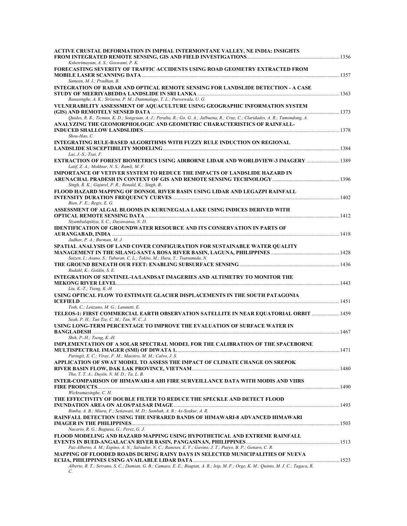| ACTIVE CRUSTAL DEFORMATION IN IMPHAL INTERMONTANE VALLEY, NE INDIA: INSIGHTS                                                                                                                |  |
|---------------------------------------------------------------------------------------------------------------------------------------------------------------------------------------------|--|
| Kshetrimayum, A. S.; Goswami, P. K.                                                                                                                                                         |  |
| FORECASTING SEVERITY OF TRAFFIC ACCIDENTS USING ROAD GEOMETRY EXTRACTED FROM                                                                                                                |  |
| Sameen, M. I.; Pradhan, B.                                                                                                                                                                  |  |
| <b>INTEGRATION OF RADAR AND OPTICAL REMOTE SENSING FOR LANDSLIDE DETECTION - A CASE</b>                                                                                                     |  |
| Ranasinghe, A. K.; Sirisena, P. M.; Dammalage, T. L.; Puswewala, U. G.                                                                                                                      |  |
| VULNERABILITY ASSESSMENT OF AQUACULTURE USING GEOGRAPHIC INFORMATION SYSTEM                                                                                                                 |  |
| Quides, R. R.; Ticman, K. D.; Songcuan, A. J.; Peralta, R.; Go, G. A.; Jalbuena, R.; Cruz, C.; Claridades, A. R.; Tamondong, A.                                                             |  |
| ANALYZING THE GEOMORPHOLOGIC AND GEOMETRIC CHARACTERISTICS OF RAINFALL-<br>Shou-Hao, C.                                                                                                     |  |
| <b>INTEGRATING RULE-BASED ALGORITHMS WITH FUZZY RULE INDUCTION ON REGIONAL</b>                                                                                                              |  |
| Lai, J.-S.; Tsai, F.                                                                                                                                                                        |  |
| <b>EXTRACTION OF FOREST BIOMETRICS USING AIRBORNE LIDAR AND WORLDVIEW-3 IMAGERY  1389</b><br>Latif, Z. A.; Mokhtar, N. S.; Ramli, M. F.                                                     |  |
| <b>IMPORTANCE OF VETIVER SYSTEM TO REDUCE THE IMPACTS OF LANDSLIDE HAZARD IN</b>                                                                                                            |  |
| Singh, R. K.; Gajurel, P. R.; Ronald, K.; Singh, B.                                                                                                                                         |  |
| FLOOD HAZARD MAPPING OF DONSOL RIVER BASIN USING LIDAR AND LEGAZPI RAINFALL                                                                                                                 |  |
| Bien, F. E.; Regis, E. G.                                                                                                                                                                   |  |
| ASSESSMENT OF ALGAL BLOOMS IN KURUNEGALA LAKE USING INDICES DERIVED WITH                                                                                                                    |  |
| Siyambalapitiya, S. C.; Dayawansa, N. D.<br><b>IDENTIFICATION OF GROUNDWATER RESOURCE AND ITS CONSERVATION IN PARTS OF</b>                                                                  |  |
| Jadhav, P. A.; Burman, M. J.                                                                                                                                                                |  |
| SPATIAL ANALYSIS OF LAND COVER CONFIGURATION FOR SUSTAINABLE WATER QUALITY                                                                                                                  |  |
| Saizen, I.; Asano, S.; Tuburan, C. L.; Tokito, M.; Hara, Y.; Tsutsumida, N.                                                                                                                 |  |
| Rudahl, K.; Goldin, S. E.                                                                                                                                                                   |  |
| INTEGRATION OF SENTINEL-1A/LANDSAT IMAGERIES AND ALTIMETRY TO MONITOR THE                                                                                                                   |  |
| Liu, K.-T.; Tseng, K.-H.                                                                                                                                                                    |  |
| USING OPTICAL FLOW TO ESTIMATE GLACIER DISPLACEMENTS IN THE SOUTH PATAGONIA                                                                                                                 |  |
| Toth, C.; Lenzano, M. G.; Lannutti, E.                                                                                                                                                      |  |
| TELEOS-1: FIRST COMMERCIAL EARTH OBSERVATION SATELLITE IN NEAR EQUATORIAL ORBIT  1459<br>Seah, P. H.; Tan Tze, C. M.; Tan, W. C. J.                                                         |  |
| USING LONG-TERM PERCENTAGE TO IMPROVE THE EVALUATION OF SURFACE WATER IN                                                                                                                    |  |
| Shih, $P.-H.$ ; Tseng, $K.-H.$<br>IMPLEMENTATION OF A SOLAR SPECTRAL MODEL FOR THE CALIBRATION OF THE SPACEBORNE                                                                            |  |
|                                                                                                                                                                                             |  |
| Paringit, E. C.; Viray, F. M.; Maestro, M. M.; Calvo, J. S.<br>APPLICATION OF SWAT MODEL TO ASSESS THE IMPACT OF CLIMATE CHANGE ON SREPOK                                                   |  |
| Thu, T. T. A.; Duyên, N. M. D.; Ta, L. B.                                                                                                                                                   |  |
| <b>INTER-COMPARISON OF HIMAWARI-8 AHI FIRE SURVEILLANCE DATA WITH MODIS AND VIIRS</b>                                                                                                       |  |
| Wickramasinghe, C. H.                                                                                                                                                                       |  |
| THE EFFECTIVITY OF DOUBLE FILTER TO REDUCE THE SPECKLE AND DETECT FLOOD                                                                                                                     |  |
| Rimba, A. B.; Miura, F.; Setiawati, M. D.; Sambah, A. B.; As-Syakur, A. R.                                                                                                                  |  |
| <b>RAINFALL DETECTION USING THE INFRARED BANDS OF HIMAWARI-8 ADVANCED HIMAWARI</b>                                                                                                          |  |
| Nacario, R. G.; Bagtasa, G.; Perez, G. J.                                                                                                                                                   |  |
| FLOOD MODELING AND HAZARD MAPPING USING HYPOTHETICAL AND EXTREME RAINFALL<br>Paz-Alberto, A. M.; Espino, A. N.; Salvador, N. C.; Raneses, E. V.; Gavino, J. T.; Pueyo, B. P.; Genaro, C. R. |  |
| MAPPING OF FLOODED ROADS DURING RAINY DAYS IN SELECTED MUNICIPALITIES OF NUEVA                                                                                                              |  |
|                                                                                                                                                                                             |  |
| Alberto, R. T.; Serrano, S. C.; Damian, G. B.; Camaso, E. E.; Biagtan, A. R.; Isip, M. F.; Orge, K. M.; Quinto, M. J. C.; Tagaca, R.<br>C.                                                  |  |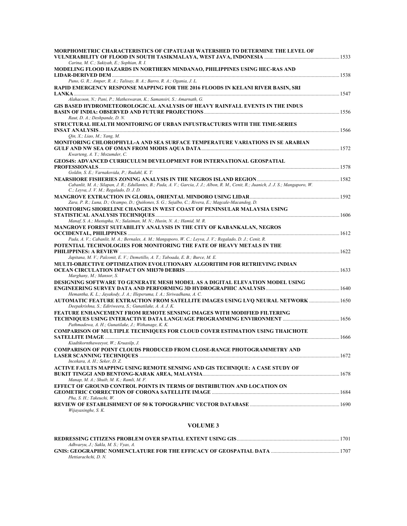| MORPHOMETRIC CHARACTERISTICS OF CIPATUJAH WATERSHED TO DETERMINE THE LEVEL OF                                                                                                     |  |
|-----------------------------------------------------------------------------------------------------------------------------------------------------------------------------------|--|
| Carina, M. C.; Sukiyah, E.; Sophian, R. I.<br>MODELING FLOOD HAZARDS IN NORTHERN MINDANAO, PHILIPPINES USING HEC-RAS AND                                                          |  |
|                                                                                                                                                                                   |  |
| Puno, G. R.; Amper, R. A.; Talisay, B. A.; Barro, R. A.; Ogania, J. L.                                                                                                            |  |
| RAPID EMERGENCY RESPONSE MAPPING FOR THE 2016 FLOODS IN KELANI RIVER BASIN, SRI                                                                                                   |  |
| Alahacoon, N.; Pani, P.; Matheswaran, K.; Samansiri, S.; Amarnath, G.                                                                                                             |  |
| GIS BASED HYDROMETEOROLOGICAL ANALYSIS OF HEAVY RAINFALL EVENTS IN THE INDUS                                                                                                      |  |
| Raut, D. A.; Deshpande, D. N.                                                                                                                                                     |  |
| STRUCTURAL HEALTH MONITORING OF URBAN INFUSTRACTURES WITH THE TIME-SERIES                                                                                                         |  |
|                                                                                                                                                                                   |  |
| Oin, X.; Liao, M.; Yang, M.<br>MONITORING CHLOROPHYLL-A AND SEA SURFACE TEMPERATURE VARIATIONS IN SE ARABIAN                                                                      |  |
|                                                                                                                                                                                   |  |
| Kwarteng, A. Y.; Mozumder, C.                                                                                                                                                     |  |
| <b>GEOS4S: ADVANCED CURRICULUM DEVELOPMENT FOR INTERNATIONAL GEOSPATIAL</b>                                                                                                       |  |
| Goldin, S. E.; Varnakovida, P.; Rudahl, K. T.                                                                                                                                     |  |
|                                                                                                                                                                                   |  |
| Cabanlit, M. A.; Silapan, J. R.; Edullantes, B.; Pada, A. V.; Garcia, J. J.; Albon, R. M., Cenit, R.; Juanich, J. J. S.; Mangaporo, W.<br>C.; Leyva, J. V. M.; Regalado, D. J. D. |  |
|                                                                                                                                                                                   |  |
| Zara, P. R.; Luna, D.; Ocampo, D.; Quiñones, S. G.; Sejalbo, C.; Rivera, E.; Magcale-Macandog, D.                                                                                 |  |
| MONITORING SHORELINE CHANGES IN WEST COAST OF PENINSULAR MALAYSIA USING                                                                                                           |  |
| Manaf, S. A.; Mustapha, N.; Sulaiman, M. N.; Husin, N. A.; Hamid, M. R.                                                                                                           |  |
| MANGROVE FOREST SUITABILITY ANALYSIS IN THE CITY OF KABANKALAN, NEGROS                                                                                                            |  |
| Pada, A. V.; Cabanlit, M. A.; Bernales, A. M.; Mangaporo, W. C.; Leyva, J. V.; Regalado, D. J.; Cenit, R.                                                                         |  |
| POTENTIAL TECHNOLOGIES FOR MONITORING THE FATE OF HEAVY METALS IN THE                                                                                                             |  |
|                                                                                                                                                                                   |  |
| Japitana, M. V.; Palconit, E. V.; Demetillo, A. T.; Taboada, E. B.; Burce, M. E.<br>MULTI-OBJECTIVE OPTIMIZATION EVOLUTIONARY ALGORITHM FOR RETRIEVING INDIAN                     |  |
|                                                                                                                                                                                   |  |
| Marghany, M.; Mansor, S.                                                                                                                                                          |  |
| DESIGNING SOFTWARE TO GENERATE MESH MODEL AS A DIGITAL ELEVATION MODEL USING                                                                                                      |  |
| Hemantha, K. L.; Jayakody, J. A.; Illeperuma, I. A.; Siriwadhana, A. C.                                                                                                           |  |
| AUTOMATIC FEATURE EXTRACTION FROM SATELLITE IMAGES USING LVQ NEURAL NETWORK  1650                                                                                                 |  |
| Deepakrishna, S.; Ediriweera, S.; Gunatilake, A. A. J. K.<br>FEATURE ENHANCEMENT FROM REMOTE SENSING IMAGES WITH MODIFIED FILTERING                                               |  |
|                                                                                                                                                                                   |  |
| Pathmadewa, A. H.; Gunatilake, J.; Withanage, K. K.                                                                                                                               |  |
| <b>COMPARISON OF MULTIPLE TECHNIQUES FOR CLOUD COVER ESTIMATION USING THAICHOTE</b>                                                                                               |  |
| Kiadtikornthaweeyot, W.; Kruasilp, J.                                                                                                                                             |  |
| <b>COMPARISON OF POINT CLOUDS PRODUCED FROM CLOSE-RANGE PHOTOGRAMMETRY AND</b>                                                                                                    |  |
| Incekara, A. H.; Seker, D. Z.                                                                                                                                                     |  |
| ACTIVE FAULTS MAPPING USING REMOTE SENSING AND GIS TECHNIOUE: A CASE STUDY OF                                                                                                     |  |
|                                                                                                                                                                                   |  |
| Manap, M. A.; Shuib, M. K.; Ramli, M. F.<br>EFFECT OF GROUND CONTROL POINTS IN TERMS OF DISTRIBUTION AND LOCATION ON                                                              |  |
|                                                                                                                                                                                   |  |
| Pha, S. H.; Takeuchi, W.                                                                                                                                                          |  |
| Wijayasinghe, S. K.                                                                                                                                                               |  |
|                                                                                                                                                                                   |  |

### **VOLUME 3**

|                                      | 1701 |
|--------------------------------------|------|
| Adhvarvu, J.; Sakla, M. S.; Vyas, A. |      |
|                                      | 1707 |
| Hettiarachchi, D. N.                 |      |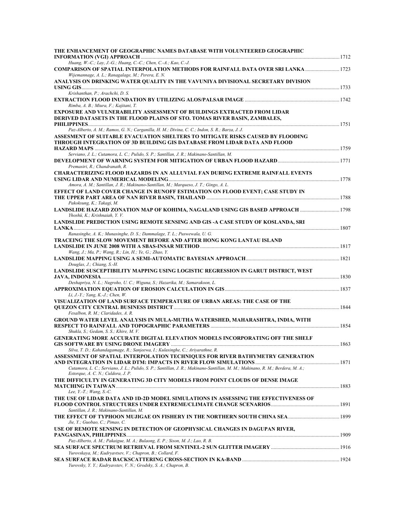| THE ENHANCEMENT OF GEOGRAPHIC NAMES DATABASE WITH VOLUNTEERED GEOGRAPHIC                                                                             |  |
|------------------------------------------------------------------------------------------------------------------------------------------------------|--|
| Huang, W.-C.; Lay, J.-G.; Huang, C.-C.; Chen, C.-A.; Kao, C.-J.                                                                                      |  |
| COMPARISON OF SPATIAL INTERPOLATION METHODS FOR RAINFALL DATA OVER SRI LANKA  1723<br>Wijemannage, A. L.; Ranagalage, M.; Perera, E. N.              |  |
| ANALYSIS ON DRINKING WATER QUALITY IN THE VAVUNIYA DIVISIONAL SECRETARY DIVISION                                                                     |  |
| Krishanthan, P.; Arachchi, D. S.                                                                                                                     |  |
|                                                                                                                                                      |  |
| Rimba, A. B.; Miura, F.; Kajitani, T.                                                                                                                |  |
| EXPOSURE AND VULNERABILITY ASSESSMENT OF BUILDINGS EXTRACTED FROM LIDAR<br>DERIVED DATASETS IN THE FLOOD PLAINS OF STO. TOMAS RIVER BASIN, ZAMBALES, |  |
|                                                                                                                                                      |  |
| Paz-Alberto, A. M.; Ramos, G. N.; Carganilla, H. M.; Divina, C. C.; Indon, S. R.; Barza, J. J.                                                       |  |
| ASSESMENT OF SUITABLE EVACUATION SHELTERS TO MITIGATE RISKS CAUSED BY FLOODING                                                                       |  |
| THROUGH INTEGRATION OF 3D BUILDING GIS DATABASE FROM LIDAR DATA AND FLOOD                                                                            |  |
|                                                                                                                                                      |  |
| Serviano, J. L.; Cutamora, L. C.; Pulido, S. P.; Santillan, J. R.; Makinano-Santillan, M.                                                            |  |
|                                                                                                                                                      |  |
| Premasiri, R.; Chandranath, R.<br><b>CHARACTERIZING FLOOD HAZARDS IN AN ALLUVIAL FAN DURING EXTREME RAINFALL EVENTS</b>                              |  |
| Amora, A. M.; Santillan, J. R.; Makinano-Santillan, M.; Marqueso, J. T.; Gingo, A. L.                                                                |  |
| EFFECT OF LAND COVER CHANGE IN RUNOFF ESTIMATION ON FLOOD EVENT; CASE STUDY IN                                                                       |  |
|                                                                                                                                                      |  |
| Pakoksung, K.; Takagi, M.                                                                                                                            |  |
| LANDSLIDE HAZARD ZONATION MAP OF KOHIMA, NAGALAND USING GIS BASED APPROACH  1798                                                                     |  |
| Yhoshü, K.; Krishnaiah, Y. V.                                                                                                                        |  |
| LANDSLIDE PREDICTION USING REMOTE SENSING AND GIS -A CASE STUDY OF KOSLANDA, SRI                                                                     |  |
|                                                                                                                                                      |  |
| Ranasinghe, A. K.; Munasinghe, D. S.; Dammalage, T. L.; Puswewala, U. G.                                                                             |  |
| TRACEING THE SLOW MOVEMENT BEFORE AND AFTER HONG KONG LANTAU ISLAND                                                                                  |  |
| Wang, J.; Ma, P.; Wang, R.; Lin, H.; Ye, G.; Zhao, Y.                                                                                                |  |
|                                                                                                                                                      |  |
| Douglas, J.; Chiang, S.-H.                                                                                                                           |  |
| LANDSLIDE SUSCEPTIBILITY MAPPING USING LOGISTIC REGRESSION IN GARUT DISTRICT, WEST                                                                   |  |
|                                                                                                                                                      |  |
| Deshapriya, N. L.; Nugroho, U. C.; Wiguna, S.; Hazarika, M.; Samarakoon, L.                                                                          |  |
|                                                                                                                                                      |  |
| Li, J.-Y.; Yang, K.-J.; Chen, W.                                                                                                                     |  |
| VISUALIZATION OF LAND SURFACE TEMPERATURE OF URBAN AREAS: THE CASE OF THE                                                                            |  |
| Fesalbon, R. M.; Claridades, A. R.                                                                                                                   |  |
| GROUND WATER LEVEL ANALYSIS IN MULA-MUTHA WATERSHED, MAHARASHTRA, INDIA, WITH                                                                        |  |
|                                                                                                                                                      |  |
| Shukla, S.; Gedam, S. S.; Khire, M. V.                                                                                                               |  |
| GENERATING MORE ACCURATE DIGITAL ELEVATION MODELS INCORPORATING OFF THE SHELF                                                                        |  |
|                                                                                                                                                      |  |
| Silva, T. D.; Kahandagamage, R.; Sanjeewa, I.; Kulasinghe, C.; Ariyarathne, R.                                                                       |  |
| ASSESSMENT OF SPATIAL INTERPOLATION TECHNIOUES FOR RIVER BATHYMETRY GENERATION                                                                       |  |
| 1871 - AND INTEGRATION IN LIDAR DTM: IMPACTS IN RIVER FLOW SIMULATIONS                                                                               |  |
| Cutamora, L. C.; Serviano, J. L.; Pulido, S. P.; Santillan, J. R.; Makinano-Santillan, M. M.; Makinano, R. M.; Berdera, M. A.;                       |  |
| Estorque, A. C. N.; Culdora, J. P.<br>THE DIFFICULTY IN GENERATING 3D CITY MODELS FROM POINT CLOUDS OF DENSE IMAGE                                   |  |
|                                                                                                                                                      |  |
| Lee, Y.-T.; Wang, S.-C.                                                                                                                              |  |
| THE USE OF LIDAR DATA AND 1D-2D MODEL SIMULATIONS IN ASSESSING THE EFFECTIVENESS OF                                                                  |  |
|                                                                                                                                                      |  |
| Santillan, J. R.; Makinano-Santillan, M.                                                                                                             |  |
|                                                                                                                                                      |  |
| Jie, Y.; Guobao, C.; Pimao, C.                                                                                                                       |  |
| USE OF REMOTE SENSING IN DETECTION OF GEOPHYSICAL CHANGES IN DAGUPAN RIVER,                                                                          |  |
|                                                                                                                                                      |  |
| Paz-Alberto, A. M.; Pakaigue, M. A.; Bulaong, E. P.; Sison, M. J.; Lao, R. B.                                                                        |  |
|                                                                                                                                                      |  |
| Yurovskaya, M.; Kudryavtsev, V.; Chapron, B.; Collard, F.                                                                                            |  |
| Yurovsky, Y. Y.; Kudryavstev, V. N.; Grodsky, S. A.; Chapron, B.                                                                                     |  |
|                                                                                                                                                      |  |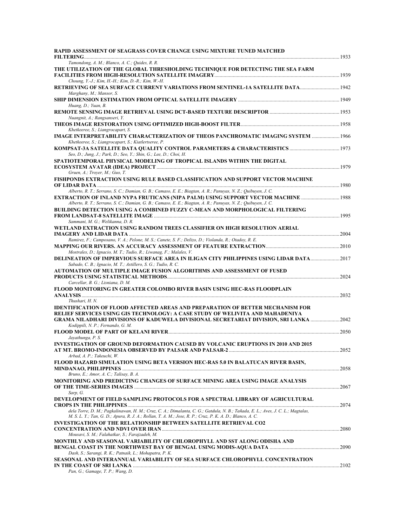| RAPID ASSESSMENT OF SEAGRASS COVER CHANGE USING MIXTURE TUNED MATCHED                                                                                                                         |      |
|-----------------------------------------------------------------------------------------------------------------------------------------------------------------------------------------------|------|
| Tamondong, A. M.; Blanco, A. C.; Quides, R. R.                                                                                                                                                |      |
| THE UTILIZATION OF THE GLOBAL THRESHOLDING TECHNIQUE FOR DETECTING THE SEA FARM                                                                                                               |      |
| Choung, Y.-J.; Kim, H.-H.; Kim, D.-R.; Kim, W.-H.                                                                                                                                             |      |
| RETRIEVING OF SEA SURFACE CURRENT VARIATIONS FROM SENTINEL-1A SATELLITE DATA<br>Marghany, M.; Mansor, S.                                                                                      |      |
| Huang, D.; Yuan, B.                                                                                                                                                                           |      |
| Nuangnit, A.; Rangsanseri, Y.                                                                                                                                                                 |      |
|                                                                                                                                                                                               |      |
| Khetkeeree, S.; Liangrocapart, S.<br>IMAGE INTERPRETABILITY CHARACTERIZATION OF THEOS PANCHROMATIC IMAGING SYSTEM  1966<br>Khetkeeree, S.; Liangrocapart, S.; Kiatlertseree, P.               |      |
| Seo, D.; Jung, J.; Park, D.; Seo, Y.; Shin, G.; Lee, D.; Choi, H.                                                                                                                             |      |
| SPATIOTEMPORAL PHYSICAL MODELING OF TROPICAL ISLANDS WITHIN THE DIGITAL                                                                                                                       |      |
| Gruen, A.; Troyer, M.; Guo, T.                                                                                                                                                                |      |
| FISHPONDS EXTRACTION USING RULE BASED CLASSIFICATION AND SUPPORT VECTOR MACHINE                                                                                                               |      |
| Alberto, R. T.; Serrano, S. C.; Damian, G. B.; Camaso, E. E.; Biagtan, A. R.; Panuyas, N. Z.; Quibuyen, J. C.                                                                                 |      |
| EXTRACTION OF INLAND NYPA FRUTICANS (NIPA PALM) USING SUPPORT VECTOR MACHINE<br>Alberto, R. T.; Serrano, S. C.; Damian, G. B.; Camaso, E. E.; Biagtan, A. R.; Panuyas, N. Z.; Quibuyen, J. C. |      |
| <b>BUILDING DETECTION USING A COMBINED FUZZY C-MEAN AND MORPHOLOGICAL FILTERING</b>                                                                                                           |      |
| Sammani, M. G.; Welikanna, D. R.                                                                                                                                                              |      |
| WETLAND EXTRACTION USING RANDOM TREES CLASSIFIER ON HIGH RESOLUTION AERIAL                                                                                                                    |      |
| Ramirez, F.; Camposano, V. A.; Pelone, M. S.; Canete, S. F.; Delizo, D.; Violanda, R.; Otadoy, R. E.                                                                                          |      |
| Mostrales, D.; Ignacio, M. T.; Tudio, R.; Liwanag, F.; Malales, V.                                                                                                                            |      |
| 1017 DELINEATION OF IMPERVIOUS SURFACE AREA IN ILIGAN CITY PHILIPPINES USING LIDAR DATA2                                                                                                      |      |
| Sabado, C. B.; Ignacio, M. T.; Astillero, S. G.; Tudio, R. C.<br>AUTOMATION OF MULTIPLE IMAGE FUSION ALGORITHMS AND ASSESSMENT OF FUSED                                                       |      |
|                                                                                                                                                                                               |      |
| Carcellar, B. G.; Lisniana, D. M.<br>FLOOD MONITORING IN GREATER COLOMBO RIVER BASIN USING HEC-RAS FLOODPLAIN                                                                                 |      |
| Thushari, H. N.                                                                                                                                                                               | 2032 |
| <b>IDENTIFICATION OF FLOOD AFFECTED AREAS AND PREPARATION OF BETTER MECHANISM FOR</b>                                                                                                         |      |
| RELIEF SERVICES USING GIS TECHNOLOGY: A CASE STUDY OF WELIVITA AND MAHADENIYA                                                                                                                 |      |
| Kodippili, N. P.; Fernando, G. M.                                                                                                                                                             |      |
|                                                                                                                                                                                               | 2050 |
| Jayathunga, P. S.<br>INVESTIGATION OF GROUND DEFORMATION CAUSED BY VOLCANIC ERUPTIONS IN 2010 AND 2015                                                                                        |      |
| AT MT. BROMO-INDONESIA OBSERVED BY PALSAR AND PALSAR-2 ………………………………………………………………………………2052                                                                                                     |      |
| Arbad, A. P.; Takeuchi, W.<br>FLOOD HAZARD SIMULATION USING BETA VERSION HEC-RAS 5.0 IN BALATUCAN RIVER BASIN,                                                                                |      |
|                                                                                                                                                                                               |      |
| Bruno, E.; Amor, A. C.; Talisay, B. A.<br>MONITORING AND PREDICTING CHANGES OF SURFACE MINING AREA USING IMAGE ANALYSIS                                                                       |      |
| Sarp, G.                                                                                                                                                                                      |      |
| DEVELOPMENT OF FIELD SAMPLING PROTOCOLS FOR A SPECTRAL LIBRARY OF AGRICULTURAL                                                                                                                |      |
| dela Torre, D. M.; Pagkalinawan, H. M.; Cruz, C. A.; Dimalanta, C. G.; Gatdula, N. B.; Tañada, E. L.; Aves, J. C. L.; Magtalas,                                                               |      |
| M. S. L. Y.; Tan, G. D.; Apura, R. J. A.; Rollan, T. A. M.; Jose, R. P.; Cruz, P. K. A. D.; Blanco, A. C.                                                                                     |      |
| <b>INVESTIGATION OF THE RELATIONSHIP BETWEEN SATELLITE RETRIEVAL CO2</b>                                                                                                                      |      |
| Mousavi, S. M.; Falahatkar, S.; Farajzadeh, M.<br>MONTHLY AND SEASONAL VARIABILITY OF CHLOROPHYLL AND SST ALONG ODISHA AND                                                                    |      |
|                                                                                                                                                                                               |      |
| Dash, S.; Sarangi, R. K.; Patnaik, L.; Mohapatra, P. K.<br>SEASONAL AND INTERANNUAL VARIABILITY OF SEA SURFACE CHLOROPHYLL CONCENTRATION                                                      |      |
|                                                                                                                                                                                               |      |
| Pan, G.; Gamage, T. P.; Wang, D.                                                                                                                                                              |      |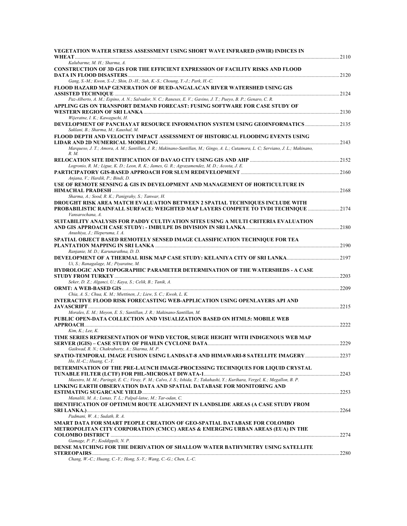| VEGETATION WATER STRESS ASSESSMENT USING SHORT WAVE INFRARED (SWIR) INDICES IN                                                                                             | .2110 |
|----------------------------------------------------------------------------------------------------------------------------------------------------------------------------|-------|
| Kalubarme, M. H.; Sharma, A.                                                                                                                                               |       |
| <b>CONSTRUCTION OF 3D GIS FOR THE EFFICIENT EXPRESSION OF FACILITY RISKS AND FLOOD</b>                                                                                     |       |
| Gang, S.-M.; Kwon, S.-J.; Shin, D.-H.; Suh, K.-S.; Choung, Y.-J.; Park, H.-C.                                                                                              |       |
| FLOOD HAZARD MAP GENERATION OF BUED-ANGALACAN RIVER WATERSHED USING GIS                                                                                                    |       |
| Paz-Alberto, A. M.; Espino, A. N.; Salvador, N. C.; Raneses, E. V.; Gavino, J. T.; Pueyo, B. P.; Genaro, C. R.                                                             |       |
| APPLING GIS ON TRANSPORT DEMAND FORECAST: FUSING SOFTWARE FOR CASE STUDY OF                                                                                                |       |
| Wijeratne, I. K.; Kawaguchi, H.<br>DEVELOPMENT OF PANCHAYAT RESOURCE INFORMATION SYSTEM USING GEOINFORMATICS  2135<br>Saklani, B.; Sharma, M.; Kaushal, M.                 |       |
| FLOOD DEPTH AND VELOCITY IMPACT ASSESSMENT OF HISTORICAL FLOODING EVENTS USING                                                                                             |       |
| Marqueso, J. T.; Amora, A. M.; Santillan, J. R.; Makinano-Santillan, M.; Gingo, A. L.; Cutamora, L. C; Serviano, J. L.; Makinano,<br>R. M.                                 |       |
|                                                                                                                                                                            |       |
| Logronio, R. M.; Ligue, K. D.; Leon, R. K.; James, G. R.; Agrazamendez, M. D.; Acosta, J. E.<br>Anjana, V.; Hardik, P.; Bindi, D.                                          |       |
| USE OF REMOTE SENSING & GIS IN DEVELOPMENT AND MANAGEMENT OF HORTICULTURE IN                                                                                               |       |
| Sharma, A.; Sood, R. K.; Panigrahy, S.; Tanwar, H.                                                                                                                         |       |
| <b>DROUGHT RISK AREA MATCH EVALUATION BETWEEN 2 SPATIAL TECHNIQUES INCLUDE WITH</b><br>PROBABILISTIC RAINFALL SURFACE: WEIGHTED MAP LAYERS COMPETE TO TVDI TECHNIOUE  2174 |       |
| Vansarochana, A.<br>SUITABILITY ANALYSIS FOR PADDY CULTIVATION SITES USING A MULTI CRITERIA EVALUATION                                                                     |       |
| Anushiya, J.; Illeperuma, I. A.                                                                                                                                            |       |
| SPATIAL OBJECT BASED REMOTELY SENSED IMAGE CLASSIFICATION TECHNIQUE FOR TEA<br>Ranjanie, M. D.; Karunarathna, D. D.                                                        |       |
| Ui, S.; Ranagalage, M.; Piyaratne, M.                                                                                                                                      |       |
| HYDROLOGIC AND TOPOGRAPHIC PARAMETER DETERMINATION OF THE WATERSHEDS - A CASE                                                                                              |       |
| Seker, D. Z.; Alganci, U.; Kaya, S.; Celik, B.; Tanik, A.                                                                                                                  | 2203  |
|                                                                                                                                                                            |       |
| Chia, A. S.; Chua, K. M.; Miettinen, J.; Liew, S. C.; Kwoh, L. K.                                                                                                          |       |
| INTERACTIVE FLOOD RISK FORECASTING WEB-APPLICATION USING OPENLAYERS API AND                                                                                                |       |
| Morales, E. M.; Moyon, E. S.; Santillan, J. R.; Makinano-Santillan, M.<br>PUBLIC OPEN-DATA COLLECTION AND VISUALIZATION BASED ON HTML5: MOBILE WEB                         |       |
| Kim, K.; Lee, K.                                                                                                                                                           | 2222  |
| TIME SERIES REPRESENTATION OF WIND VECTOR, SURGE HEIGHT WITH INDIGENOUS WEB MAP                                                                                            | .2229 |
| Gaikwad, R. N.; Chakraborty, A.; Sharma, M. P.                                                                                                                             |       |
| SPATIO-TEMPORAL IMAGE FUSION USING LANDSAT-8 AND HIMAWARI-8 SATELLITE IMAGERY 2237<br>$H_0$ , $H$ .- $C$ .; Huang, $C$ .- $Y$ .                                            |       |
| DETERMINATION OF THE PRE-LAUNCH IMAGE-PROCESSING TECHNIQUES FOR LIQUID CRYSTAL                                                                                             |       |
| Maestro, M. M.; Paringit, E. C.; Viray, F. M.; Calvo, J. S.; Ishida, T.; Takahashi, Y.; Kurihara, Vergel, K.; Megallon, B. P.                                              |       |
| LINKING EARTH OBSERVATION DATA AND SPATIAL DATABASE FOR MONITORING AND                                                                                                     |       |
| Manalili, M. A.; Lunas, T. L.; Palpal-latoc, M.; Tar-odan, C.                                                                                                              |       |
| IDENTIFICATION OF OPTIMUM ROUTE ALIGNMENT IN LANDSLIDE AREAS (A CASE STUDY FROM                                                                                            |       |
| Padmani, W. A.; Sudath, R. A.                                                                                                                                              |       |
| SMART DATA FOR SMART PEOPLE CREATION OF GEO-SPATIAL DATABASE FOR COLOMBO                                                                                                   |       |
| METROPOLITAN CITY CORPORATION (CMCC) AREAS & EMERGING URBAN AREAS (EUA) IN THE                                                                                             |       |
| Gamage, P. P.; Koddippili, N. P.<br>DENSE MATCHING FOR THE DERIVATION OF SHALLOW WATER BATHYMETRY USING SATELLITE                                                          |       |
|                                                                                                                                                                            |       |
| Chang, W.-C.; Huang, C.-Y.; Hong, S.-Y.; Wang, C.-G.; Chen, L.-C.                                                                                                          |       |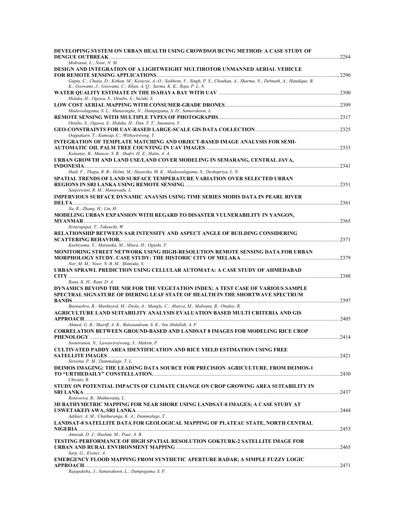| DEVELOPING SYSTEM ON URBAN HEALTH USING CROWDSOURCING METHOD: A CASE STUDY OF<br><b>DENGUE OUTBREAK</b>                                                                                                      | .2284  |
|--------------------------------------------------------------------------------------------------------------------------------------------------------------------------------------------------------------|--------|
| Mokraoui, L.; Noor, N. M.                                                                                                                                                                                    |        |
| DESIGN AND INTEGRATION OF A LIGHTWEIGHT MULTIROTOR UNMANNED AERIAL VEHICLE                                                                                                                                   | .2290  |
| Gupta, C.; Chutia, D.; Kithan, M.; Kesiezie, A.-O.; Saikhom, V.; Singh, P. S.; Chouhan, A.; Sharma, N.; Debnath, A.; Handique, B.<br>K.; Goswami, J.; Goswami, C.; Khan, A. Q.; Sarma, K. K.; Raju, P. L. N. |        |
| Hidaka, H.; Ogawa, S.; Otsubo, S.; Suzuki, S.                                                                                                                                                                |        |
| Madawalagama, S. L.; Munasinghe, N.; Dampegama, S. D.; Samarakoon, L.                                                                                                                                        |        |
| Otsubo, S.; Ogawa, S.; Hidaka, H.; Dan, T. T.; Imamura, Y.                                                                                                                                                   |        |
| Ooppakarn, T.; Kumsap, C.; Witheetrirong, Y.                                                                                                                                                                 |        |
| INTEGRATION OF TEMPLATE MATCHING AND OBJECT-BASED IMAGE ANALYSIS FOR SEMI-<br>Kalantar, B.; Mansor, S. B.; Shafri, H. Z.; Halin, A. A.                                                                       |        |
| URBAN GROWTH AND LAND USE/LAND COVER MODELING IN SEMARANG, CENTRAL JAVA,                                                                                                                                     |        |
| Hadi, F.; Thapa, R. B.; Helmi, M.; Hazarika, M. K.; Madawalagama, S.; Deshapriya, L. N.<br>SPATIAL TRENDS OF LAND SURFACE TEMPERATURE VARIATION OVER SELECTED URBAN                                          |        |
| Sanjeewani, R. M.; Manawadu, L.                                                                                                                                                                              |        |
| IMPERVIOUS SURFACE DYNAMIC ANAYSIS USING TIME SERIES MODIS DATA IN PEARL RIVER                                                                                                                               | .2361  |
| Xu, R.; Zhang, H.; Lin, H.                                                                                                                                                                                   |        |
| MODELING URBAN EXPANSION WITH REGARD TO DISASTER VULNERABILITY IN YANGON,<br>Sritarapipat, T.; Takeuchi, W.                                                                                                  |        |
| RELATIONSHIP BETWEEN SAR INTENSITY AND ASPECT ANGLE OF BUILDING CONSIDERING                                                                                                                                  | .2371  |
| Kushiyama, Y.; Matsuoka, M.; Miura, H.; Ogushi, F.<br>MONITORING STREET NETWORK USING HIGH-RESOLUTION REMOTE SENSING DATA FOR URBAN                                                                          |        |
| Nor, M. M.; Noor, N. B. M.; Shimoda, S.<br>URBAN SPRAWL PREDICTION USING CELLULAR AUTOMATA: A CASE STUDY OF AHMEDABAD                                                                                        | .2388  |
| Rana, K. H.; Raut, D. A.                                                                                                                                                                                     |        |
| DYNAMICS BEYOND THE NIR FOR THE VEGETATION INDEX: A TEST CASE OF VARIOUS SAMPLE<br>SPECTRAL SIGNATURE OF DIERING LEAF STATE OF HEALTH IN THE SHORTWAVE SPECTRUM                                              | .2397  |
| Buenaobra, B.; Manhuyod, M.; Diola, A.; Mangle, C.; Abarca, M.; Mabanta, B.; Otadoy, R.                                                                                                                      |        |
| AGRICULTURE LAND SUITABILITY ANALYSIS EVALUATION BASED MULTI CRITERIA AND GIS                                                                                                                                | .2405  |
| Ahmed, G. B.; Shariff, A. R.; Balasundram, S. K.; bin Abdullah, A. F.                                                                                                                                        |        |
| <b>CORRELATION BETWEEN GROUND-BASED AND LANDSAT 8 IMAGES FOR MODELING RICE CROP</b>                                                                                                                          | . 2414 |
| Soontranon, N.; Lawawirojwong, S.; Maksin, P.<br><b>CULTIVATED PADDY AREA IDENTIFICATION AND RICE YIELD ESTIMATION USING FREE</b>                                                                            |        |
| Sirisena, P. M.; Dammalage, T. L.                                                                                                                                                                            |        |
| <b>DEIMOS IMAGING: THE LEADING DATA SOURCE FOR PRECISION AGRICULTURE. FROM DEIMOS-1</b>                                                                                                                      |        |
| Chivato, R.                                                                                                                                                                                                  |        |
| STUDY ON POTENTIAL IMPACTS OF CLIMATE CHANGE ON CROP GROWING AREA SUITABILITY IN                                                                                                                             |        |
| Rotawewa, B.; Muthuwatta, L.                                                                                                                                                                                 |        |
| 3D BATHYMETRIC MAPPING FOR NEAR SHORE USING LANDSAT-8 IMAGES; A CASE STUDY AT<br>Adikari, A. M.; Chathuranga, K. A.; Dammalage, T.                                                                           |        |
| LANDSAT-8 SATELLITE DATA FOR GEOLOGICAL MAPPING OF PLATEAU STATE, NORTH CENTRAL                                                                                                                              |        |
| Amusuk, D. J.; Hashim, M.; Pour, A. B.<br>TESTING PERFORMANCE OF HIGH SPATIAL RESOLUTION GOKTURK-2 SATELLITE IMAGE FOR                                                                                       |        |
| Sarp, G.; Erener, A.                                                                                                                                                                                         |        |
| <b>EMERGENCY FLOOD MAPPING FROM SYNTHETIC APERTURE RADAR; A SIMPLE FUZZY LOGIC</b>                                                                                                                           |        |
| Rajapaksha, J.; Samarakoon, L.; Dampegama, S. P.                                                                                                                                                             |        |